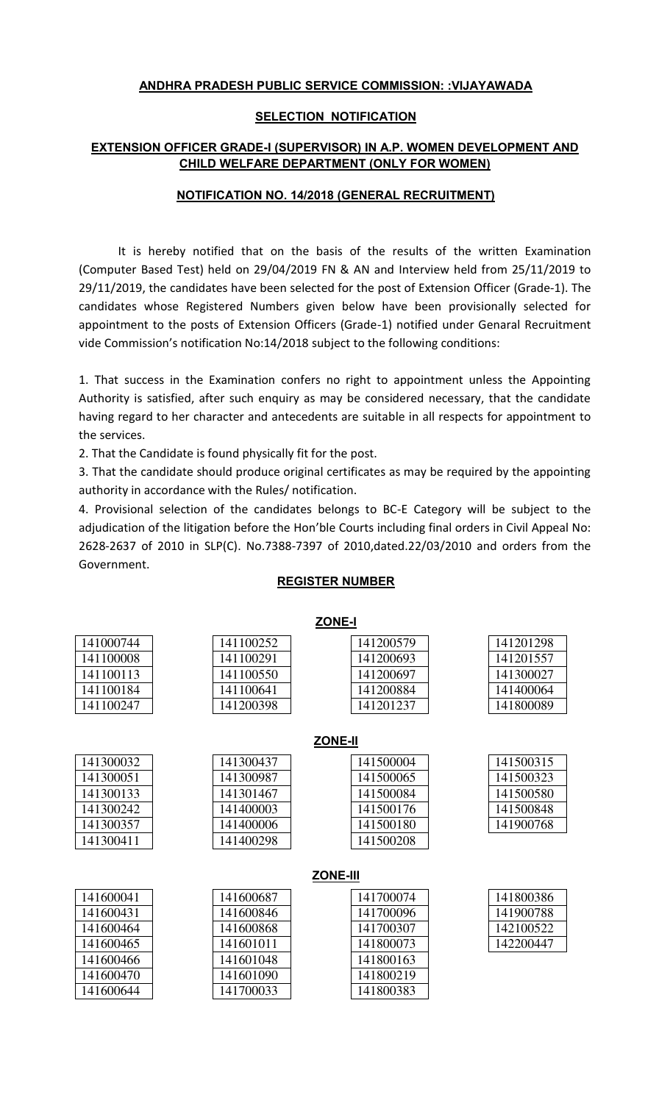# **ANDHRA PRADESH PUBLIC SERVICE COMMISSION: :VIJAYAWADA**

## **SELECTION NOTIFICATION**

# **EXTENSION OFFICER GRADE-I (SUPERVISOR) IN A.P. WOMEN DEVELOPMENT AND CHILD WELFARE DEPARTMENT (ONLY FOR WOMEN)**

## **NOTIFICATION NO. 14/2018 (GENERAL RECRUITMENT)**

It is hereby notified that on the basis of the results of the written Examination (Computer Based Test) held on 29/04/2019 FN & AN and Interview held from 25/11/2019 to 29/11/2019, the candidates have been selected for the post of Extension Officer (Grade-1). The candidates whose Registered Numbers given below have been provisionally selected for appointment to the posts of Extension Officers (Grade-1) notified under Genaral Recruitment vide Commission's notification No:14/2018 subject to the following conditions:

1. That success in the Examination confers no right to appointment unless the Appointing Authority is satisfied, after such enquiry as may be considered necessary, that the candidate having regard to her character and antecedents are suitable in all respects for appointment to the services.

2. That the Candidate is found physically fit for the post.

3. That the candidate should produce original certificates as may be required by the appointing authority in accordance with the Rules/ notification.

4. Provisional selection of the candidates belongs to BC-E Category will be subject to the adjudication of the litigation before the Hon'ble Courts including final orders in Civil Appeal No: 2628-2637 of 2010 in SLP(C). No.7388-7397 of 2010,dated.22/03/2010 and orders from the Government.

| <u>ZONE-I</u>   |           |           |           |  |  |
|-----------------|-----------|-----------|-----------|--|--|
| 141000744       | 141100252 | 141200579 | 141201298 |  |  |
| 141100008       | 141100291 | 141200693 | 141201557 |  |  |
| 141100113       | 141100550 | 141200697 | 141300027 |  |  |
| 141100184       | 141100641 | 141200884 | 141400064 |  |  |
| 141100247       | 141200398 | 141201237 | 141800089 |  |  |
|                 |           |           |           |  |  |
| <b>ZONE-II</b>  |           |           |           |  |  |
| 141300032       | 141300437 | 141500004 | 141500315 |  |  |
| 141300051       | 141300987 | 141500065 | 141500323 |  |  |
| 141300133       | 141301467 | 141500084 | 141500580 |  |  |
| 141300242       | 141400003 | 141500176 | 141500848 |  |  |
| 141300357       | 141400006 | 141500180 | 141900768 |  |  |
| 141300411       | 141400298 | 141500208 |           |  |  |
|                 |           |           |           |  |  |
| <b>ZONE-III</b> |           |           |           |  |  |
| 141600041       | 141600687 | 141700074 | 141800386 |  |  |
| 141600431       | 141600846 | 141700096 | 141900788 |  |  |
| 141600464       | 141600868 | 141700307 | 142100522 |  |  |
| 141600465       | 141601011 | 141800073 | 142200447 |  |  |
| 141600466       | 141601048 | 141800163 |           |  |  |
| 141600470       | 141601090 | 141800219 |           |  |  |
| 141600644       | 141700033 | 141800383 |           |  |  |

## **REGISTER NUMBER**